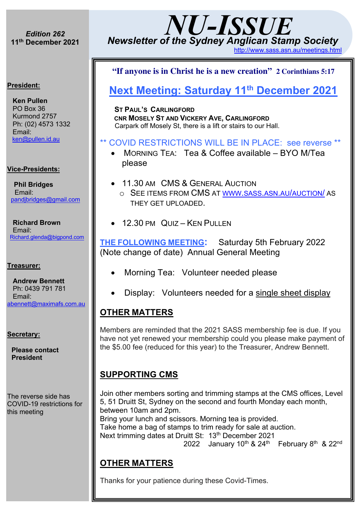## **11th December <sup>2021</sup>**  *Edition 262*

*ISSUE*

# *NU-ISSUE Newsletter of the Sydney Anglican Stamp Society* http://www.sass.asn.au/meetings.html

# **President: President:**<br>President:

**Ken Pullen** PO Box 36  $\blacksquare$ Kurmond 2757 Ph: (02) 4573 1332 Email: • MORNING TEA: ken@pullen.id.au • 11AM CMS AUCTION GLENIS HILL & KEN

#### **Vice-Presidents:** HAVE AS NOTHING • 11AM CMS <u>2000011</u>

 **Phil Bridges** en in Dinagoo<br>Email: email:<br>• 1.30PM andibridges@gmail.com

Richard Brown **No.95** Email:<br><u>Richard.glenda@bigpond.com</u>

• WINTERS DAY WITH

#### **Treasurer: THE FOLLOWING**

**Andrew Bennett** Ph: 0439 791 781<br>Emoil: Email: abennett@maximafs.com.au 8 Bennett<br>204 704

Secretary: VOLUME PLEASE.

3pm

our October 13th

**Please contact President** nt: HISTORY OF THE STREET

The reverse side has  $\begin{array}{c} \text{and} \end{array}$ COVID-19 restrictions for  $\|\cdot\|$ this meeting to the  $\|\cdot\|$ they have a major

Church/Community

Saturday 8th September, 9am to 1980, 1980, 1980, 1980, 1980, 1980, 1980, 1980, 1980, 1980, 1980, 1980, 1980, 1

STAMP COLLECTING

### Ī **"If anyone is in Christ he is a new creation" 2 Corinthians 5:17**

## **Next Meeting: Saturday 11th December 2021**

 **ST PAUL'S CARLINGFORD CNR MOSELY ST AND VICKERY AVE, CARLINGFORD** Carpark off Mosely St, there is a lift or stairs to our Hall.

### \*\* COVID RESTRICTIONS WILL BE IN PLACE: see reverse \*\*

- 1200 DISPLAY: PLEASE BRING SOMETHING YOU • MORNING TEA: Tea & Coffee available – BYO M/Tea please
	- 11.30 AM CMS & GENERAL AUCTION
		- o SEE ITEMS FROM CMS AT WWW.SASS.ASN.AU/AUCTION/ AS THEY GET UPLOADED.
	- 12.30 PM QUIZ KEN PULLEN

THANKS TO ALL WHO HELPED TO ALL WHO HELPED **THE FOLLOWING MEETING:** Saturday 5th February 2022 (Note change of date) Annual General Meeting

- Morning Tea: Volunteer needed please
- Display: Volunteers needed for a single sheet display

### **OTHER MATTERS**

• MORNING TEA: NEED A Members are reminded that the 2021 SASS membership fee is due. If you have not yet renewed your membership could you please make payment of the \$5.00 fee (reduced for this year) to the Treasurer, Andrew Bennett.

### **SUPPORTING CMS**

Community Church have function they hold every like the Next trimming dates at Druitt St: 13<sup>th</sup> December 2021 year on the last Saturday in the last Saturday in the last Saturday in the last Saturday in the last Saturday of the School Holidays – Join other members sorting and trimming stamps at the CMS offices, Level 5, 51 Druitt St, Sydney on the second and fourth Monday each month, between 10am and 2pm. Bring your lunch and scissors. Morning tea is provided. Take home a bag of stamps to trim ready for sale at auction. 2022 January 10th & 24th February 8th & 22nd

#### which this year clashes which the clashes with us. So we have done **OTHER MATTERS**

EAST KURRAJONG SCHOOL OF ARTS Thanks for your patience during these Covid-Times.